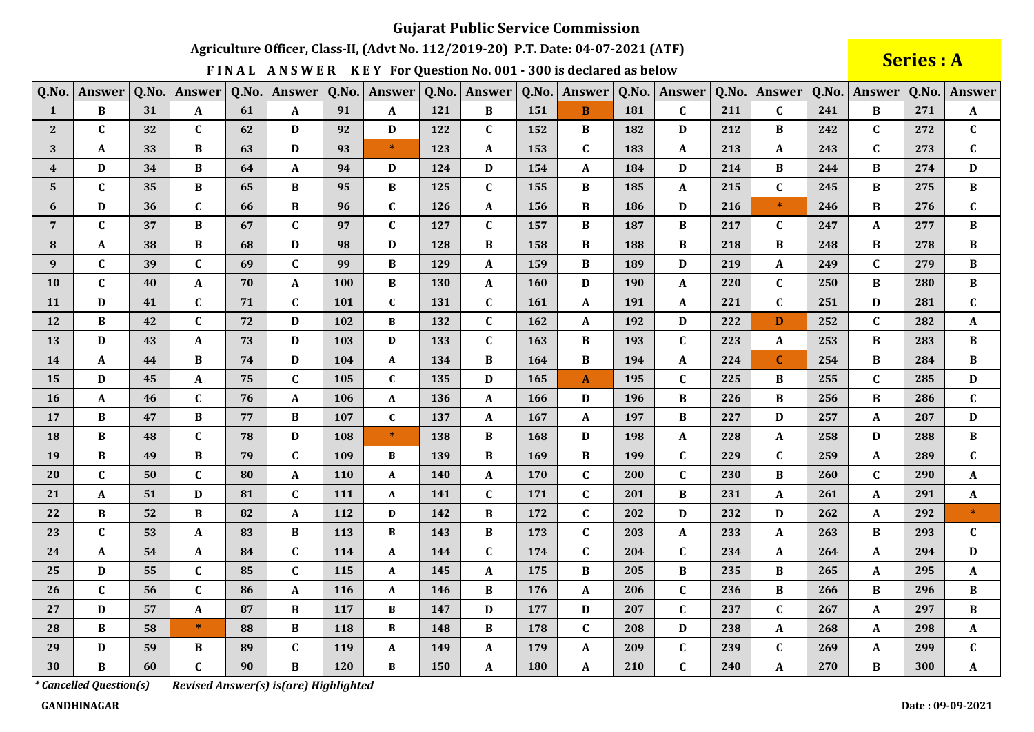Agriculture Officer, Class-II, (Advt No. 112/2019-20) P.T. Date: 04-07-2021 (ATF)

FINAL ANSWER KEY For Question No. 001 - 300 is declared as below

**Series: A** 

| Q.No.            | Answer       | Q.No. | Answer       | Q.No. | Answer                    | Q.No. | Answer       | Q.No. | Answer       | Q.No. | Answer       | Q.No. | Answer           | Q.No. | Answer       |     | Q.No. Answer | Q.No. | Answer                    |
|------------------|--------------|-------|--------------|-------|---------------------------|-------|--------------|-------|--------------|-------|--------------|-------|------------------|-------|--------------|-----|--------------|-------|---------------------------|
| $\mathbf{1}$     | $\, {\bf B}$ | 31    | $\mathbf{A}$ | 61    | $\mathbf{A}$              | 91    | $\mathbf A$  | 121   | $\bf{B}$     | 151   | $\, {\bf B}$ | 181   | $\mathbf{C}$     | 211   | $\mathbf{C}$ | 241 | $\bf{B}$     | 271   | $\mathbf A$               |
| $\mathbf{2}$     | $\mathbf{C}$ | 32    | $\mathbf{C}$ | 62    | D                         | 92    | D            | 122   | $\mathbf C$  | 152   | B            | 182   | D                | 212   | B            | 242 | $\mathbf{C}$ | 272   | $\mathbf{C}$              |
| 3                | A            | 33    | B            | 63    | D                         | 93    | $\ast$       | 123   | A            | 153   | C            | 183   | $\mathbf{A}$     | 213   | A            | 243 | $\mathbf{C}$ | 273   | $\mathbf{C}$              |
| $\boldsymbol{4}$ | D            | 34    | B            | 64    | $\mathbf{A}$              | 94    | $\mathbf D$  | 124   | D            | 154   | A            | 184   | $\mathbf D$      | 214   | $\bf{B}$     | 244 | $\bf{B}$     | 274   | D                         |
| $\mathbf{5}$     | $\mathbf{C}$ | 35    | $\bf{B}$     | 65    | $\, {\bf B}$              | 95    | B            | 125   | $\mathbf C$  | 155   | $\bf{B}$     | 185   | $\mathbf{A}$     | 215   | $\mathbf{C}$ | 245 | B            | 275   | $\bf{B}$                  |
| 6                | D            | 36    | $\mathbf{C}$ | 66    | $\bf{B}$                  | 96    | $\mathbf{C}$ | 126   | $\mathbf A$  | 156   | $\bf{B}$     | 186   | $\mathbf D$      | 216   | $\ast$       | 246 | B            | 276   | $\mathbf C$               |
| $\overline{7}$   | $\mathbf{C}$ | 37    | B            | 67    | $\mathbf{C}$              | 97    | $\mathbf{C}$ | 127   | $\mathbf{C}$ | 157   | B            | 187   | $\, {\bf B}$     | 217   | $\mathbf{C}$ | 247 | A            | 277   | $\bf{B}$                  |
| $\bf{8}$         | A            | 38    | B            | 68    | $\mathbf D$               | 98    | $\mathbf D$  | 128   | B            | 158   | B            | 188   | $\, {\bf B}$     | 218   | B            | 248 | B            | 278   | B                         |
| 9                | $\mathbf{C}$ | 39    | $\mathbf{C}$ | 69    | $\mathbf{C}$              | 99    | B            | 129   | $\mathbf{A}$ | 159   | B            | 189   | D                | 219   | A            | 249 | $\mathbf{C}$ | 279   | $\bf{B}$                  |
| 10               | $\mathbf{C}$ | 40    | A            | 70    | $\mathbf A$               | 100   | $\bf{B}$     | 130   | A            | 160   | D            | 190   | $\boldsymbol{A}$ | 220   | $\mathbf C$  | 250 | B            | 280   | $\bf{B}$                  |
| 11               | D            | 41    | $\mathbf{C}$ | 71    | $\mathbf{C}$              | 101   | $\mathbf{C}$ | 131   | $\mathbf{C}$ | 161   | $\mathbf{A}$ | 191   | $\mathbf{A}$     | 221   | $\mathbf{C}$ | 251 | D            | 281   | $\mathbf{C}$              |
| 12               | B            | 42    | $\mathbf{C}$ | 72    | $\mathbf D$               | 102   | В            | 132   | $\mathbf{C}$ | 162   | A            | 192   | $\mathbf D$      | 222   | D            | 252 | $\mathbf{C}$ | 282   | $\mathbf A$               |
| 13               | D            | 43    | A            | 73    | $\mathbf D$               | 103   | D            | 133   | $\mathbf{C}$ | 163   | B            | 193   | $\mathbf C$      | 223   | A            | 253 | B            | 283   | $\, {\bf B}$              |
| 14               | $\mathbf{A}$ | 44    | B            | 74    | $\mathbf D$               | 104   | A            | 134   | $\bf{B}$     | 164   | B            | 194   | $\mathbf{A}$     | 224   | $\mathbf{C}$ | 254 | $\bf{B}$     | 284   | $\bf{B}$                  |
| 15               | D            | 45    | A            | 75    | $\mathbf C$               | 105   | $\mathbf C$  | 135   | D            | 165   | $\mathbf{A}$ | 195   | $\mathbf C$      | 225   | B            | 255 | $\mathbf{C}$ | 285   | D                         |
| 16               | $\mathbf A$  | 46    | $\mathbf{C}$ | 76    | $\boldsymbol{\mathsf{A}}$ | 106   | $\mathbf{A}$ | 136   | $\mathbf{A}$ | 166   | D            | 196   | $\bf{B}$         | 226   | $\, {\bf B}$ | 256 | B            | 286   | $\mathbf{C}$              |
| 17               | $\bf{B}$     | 47    | $\bf{B}$     | 77    | $\, {\bf B}$              | 107   | $\mathbf{C}$ | 137   | A            | 167   | A            | 197   | $\, {\bf B}$     | 227   | D            | 257 | A            | 287   | D                         |
| 18               | $\, {\bf B}$ | 48    | $\mathbf{C}$ | 78    | $\mathbf D$               | 108   | $\ast$       | 138   | B            | 168   | D            | 198   | ${\bf A}$        | 228   | A            | 258 | D            | 288   | $\, {\bf B}$              |
| 19               | B            | 49    | B            | 79    | $\mathbf{C}$              | 109   | $\bf{B}$     | 139   | B            | 169   | $\bf{B}$     | 199   | $\mathbf C$      | 229   | $\mathbf{C}$ | 259 | A            | 289   | $\mathbf{C}$              |
| 20               | $\mathbf C$  | 50    | $\mathbf{C}$ | 80    | $\mathbf A$               | 110   | A            | 140   | A            | 170   | $\mathbf C$  | 200   | $\mathbf C$      | 230   | B            | 260 | $\mathbf{C}$ | 290   | A                         |
| 21               | A            | 51    | D            | 81    | $\mathbf{C}$              | 111   | $\mathbf{A}$ | 141   | $\mathbf{C}$ | 171   | $\mathbf C$  | 201   | $\, {\bf B}$     | 231   | A            | 261 | A            | 291   | $\boldsymbol{\mathsf{A}}$ |
| 22               | B            | 52    | $\bf{B}$     | 82    | $\mathbf A$               | 112   | D            | 142   | $\bf{B}$     | 172   | $\mathbf C$  | 202   | $\mathbf D$      | 232   | D            | 262 | A            | 292   | $\ast$                    |
| 23               | $\mathbf{C}$ | 53    | A            | 83    | $\, {\bf B}$              | 113   | B            | 143   | B            | 173   | $\mathbf{C}$ | 203   | ${\bf A}$        | 233   | A            | 263 | B            | 293   | $\mathbf{C}$              |
| 24               | $\mathbf A$  | 54    | A            | 84    | $\mathbf C$               | 114   | A            | 144   | $\mathbf{C}$ | 174   | $\mathbf C$  | 204   | $\mathbf C$      | 234   | $\mathbf A$  | 264 | A            | 294   | $\mathbf D$               |
| 25               | D            | 55    | $\mathbf{C}$ | 85    | $\mathbf C$               | 115   | A            | 145   | A            | 175   | $\bf{B}$     | 205   | $\, {\bf B}$     | 235   | B            | 265 | A            | 295   | $\mathbf A$               |
| 26               | $\mathbf{C}$ | 56    | $\mathbf{C}$ | 86    | $\mathbf{A}$              | 116   | A            | 146   | B            | 176   | A            | 206   | $\mathbf C$      | 236   | B            | 266 | B            | 296   | B                         |
| 27               | D            | 57    | A            | 87    | $\, {\bf B}$              | 117   | В            | 147   | D            | 177   | D            | 207   | $\mathbf C$      | 237   | $\mathbf{C}$ | 267 | A            | 297   | B                         |
| 28               | B            | 58    | $\ast$       | 88    | $\, {\bf B}$              | 118   | B            | 148   | $\, {\bf B}$ | 178   | $\mathbf{C}$ | 208   | $\mathbf D$      | 238   | A            | 268 | A            | 298   | $\mathbf A$               |
| 29               | D            | 59    | B            | 89    | $\mathbf C$               | 119   | A            | 149   | A            | 179   | $\mathbf A$  | 209   | $\mathbf C$      | 239   | $\mathbf C$  | 269 | A            | 299   | $\mathbf C$               |
| 30               | B            | 60    | $\mathbf{C}$ | 90    | $\, {\bf B}$              | 120   | B            | 150   | A            | 180   | $\mathbf A$  | 210   | $\mathbf C$      | 240   | $\mathbf{A}$ | 270 | B            | 300   | $\mathbf A$               |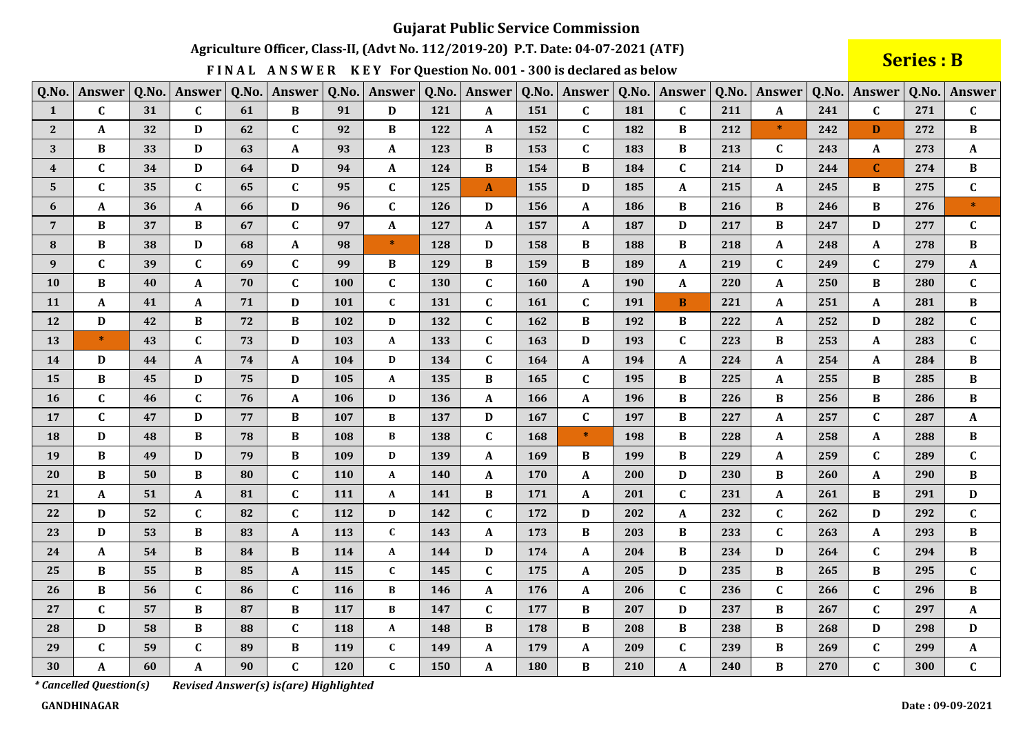Agriculture Officer, Class-II, (Advt No. 112/2019-20) P.T. Date: 04-07-2021 (ATF)

FINAL ANSWER KEY For Question No. 001 - 300 is declared as below

**Series: B** 

| Q.No.                   | Answer       | Q.No. | Answer       | Q.No. | Answer       | Q.No. | Answer       | Q.No.      | Answer       | Q.No. | Answer       | Q.No. | Answer           | Q.No. | Answer       | Q.No. | Answer       | Q.No. | <b>Answer</b> |
|-------------------------|--------------|-------|--------------|-------|--------------|-------|--------------|------------|--------------|-------|--------------|-------|------------------|-------|--------------|-------|--------------|-------|---------------|
| $\mathbf{1}$            | $\mathbf{C}$ | 31    | $\mathbf{C}$ | 61    | $\, {\bf B}$ | 91    | D            | 121        | A            | 151   | $\mathbf{C}$ | 181   | $\mathbf C$      | 211   | A            | 241   | $\mathbf{C}$ | 271   | $\mathbf{C}$  |
| 2 <sup>1</sup>          | A            | 32    | D            | 62    | $\mathbf{C}$ | 92    | B            | 122        | A            | 152   | $\mathbf{C}$ | 182   | $\bf{B}$         | 212   | $\ast$       | 242   | D            | 272   | $\bf{B}$      |
| 3                       | B            | 33    | D            | 63    | A            | 93    | A            | 123        | B            | 153   | $\mathbf{C}$ | 183   | B                | 213   | C            | 243   | A            | 273   | A             |
| $\overline{\mathbf{4}}$ | $\mathbf{C}$ | 34    | D            | 64    | D            | 94    | A            | 124        | B            | 154   | B            | 184   | $\mathbf{C}$     | 214   | D            | 244   | $\mathbf{C}$ | 274   | B             |
| 5                       | $\mathbf{C}$ | 35    | $\mathbf{C}$ | 65    | $\mathbf C$  | 95    | $\mathbf C$  | 125        | $\mathbf{A}$ | 155   | D            | 185   | $\boldsymbol{A}$ | 215   | A            | 245   | B            | 275   | $\mathbf{C}$  |
| 6                       | $\mathbf{A}$ | 36    | A            | 66    | D            | 96    | $\mathbf{C}$ | 126        | D            | 156   | A            | 186   | $\bf{B}$         | 216   | B            | 246   | B            | 276   | $\ast$        |
| $7\overline{ }$         | $\bf{B}$     | 37    | B            | 67    | $\mathbf{C}$ | 97    | A            | 127        | A            | 157   | A            | 187   | $\mathbf D$      | 217   | B            | 247   | D            | 277   | $\mathbf{C}$  |
| 8                       | B            | 38    | D            | 68    | $\mathbf{A}$ | 98    | $\ast$       | 128        | D            | 158   | B            | 188   | $\, {\bf B}$     | 218   | A            | 248   | A            | 278   | $\bf{B}$      |
| 9                       | $\mathbf{C}$ | 39    | $\mathbf{C}$ | 69    | $\mathbf C$  | 99    | $\bf{B}$     | 129        | B            | 159   | B            | 189   | $\mathbf{A}$     | 219   | $\mathbf{C}$ | 249   | $\mathbf{C}$ | 279   | $\mathbf{A}$  |
| 10                      | B            | 40    | A            | 70    | $\mathbf C$  | 100   | $\mathbf C$  | <b>130</b> | $\mathbf{C}$ | 160   | A            | 190   | $\mathbf{A}$     | 220   | A            | 250   | B            | 280   | $\mathbf{C}$  |
| 11                      | $\mathbf A$  | 41    | $\mathbf{A}$ | 71    | $\mathbf D$  | 101   | $\mathbf{C}$ | 131        | $\mathbf{C}$ | 161   | $\mathbf{C}$ | 191   | $\bf{B}$         | 221   | A            | 251   | $\mathbf{A}$ | 281   | $\bf{B}$      |
| 12                      | D            | 42    | $\bf{B}$     | 72    | $\, {\bf B}$ | 102   | D            | 132        | $\mathbf{C}$ | 162   | B            | 192   | $\bf{B}$         | 222   | A            | 252   | D            | 282   | $\mathbf{C}$  |
| 13                      | $\star$      | 43    | $\mathbf{C}$ | 73    | $\mathbf D$  | 103   | A            | 133        | $\mathbf{C}$ | 163   | D            | 193   | $\mathbf{C}$     | 223   | B            | 253   | A            | 283   | $\mathbf{C}$  |
| 14                      | D            | 44    | A            | 74    | $\mathbf{A}$ | 104   | D            | 134        | $\mathbf C$  | 164   | A            | 194   | $\mathbf{A}$     | 224   | A            | 254   | A            | 284   | B             |
| 15                      | B            | 45    | D            | 75    | D            | 105   | A            | 135        | B            | 165   | C            | 195   | В                | 225   | A            | 255   | B            | 285   | B             |
| 16                      | $\mathbf{C}$ | 46    | $\mathbf{C}$ | 76    | A            | 106   | D            | 136        | A            | 166   | A            | 196   | B                | 226   | B            | 256   | B            | 286   | B             |
| 17                      | $\mathbf{C}$ | 47    | D            | 77    | B            | 107   | B            | 137        | D            | 167   | $\mathbf{C}$ | 197   | B                | 227   | A            | 257   | $\mathbf C$  | 287   | A             |
| 18                      | D            | 48    | B            | 78    | $\, {\bf B}$ | 108   | B            | 138        | C            | 168   | $*$          | 198   | B                | 228   | A            | 258   | A            | 288   | B             |
| 19                      | $\bf{B}$     | 49    | D            | 79    | $\, {\bf B}$ | 109   | D            | 139        | $\mathbf{A}$ | 169   | B            | 199   | $\, {\bf B}$     | 229   | A            | 259   | $\mathbf{C}$ | 289   | $\mathbf{C}$  |
| 20                      | B            | 50    | B            | 80    | $\mathbf C$  | 110   | A            | <b>140</b> | A            | 170   | A            | 200   | D                | 230   | B            | 260   | A            | 290   | B             |
| 21                      | A            | 51    | A            | 81    | $\mathbf{C}$ | 111   | A            | 141        | B            | 171   | A            | 201   | $\mathbf C$      | 231   | A            | 261   | B            | 291   | D             |
| 22                      | D            | 52    | $\mathbf{C}$ | 82    | $\mathbf C$  | 112   | $\mathbf D$  | 142        | $\mathbf C$  | 172   | D            | 202   | $\mathbf{A}$     | 232   | $\mathbf{C}$ | 262   | D            | 292   | $\mathbf{C}$  |
| 23                      | $\mathbf D$  | 53    | B            | 83    | $\mathbf{A}$ | 113   | $\mathbf{C}$ | 143        | A            | 173   | $\bf{B}$     | 203   | $\, {\bf B}$     | 233   | $\mathbf C$  | 263   | A            | 293   | $\bf{B}$      |
| 24                      | $\mathbf A$  | 54    | B            | 84    | $\, {\bf B}$ | 114   | $\mathbf A$  | 144        | D            | 174   | A            | 204   | $\bf{B}$         | 234   | $\mathbf D$  | 264   | $\mathbf{C}$ | 294   | $\bf{B}$      |
| 25                      | B            | 55    | B            | 85    | A            | 115   | $\mathbf C$  | 145        | $\mathbf{C}$ | 175   | A            | 205   | D                | 235   | B            | 265   | B            | 295   | C             |
| 26                      | B            | 56    | $\mathbf{C}$ | 86    | $\mathbf{C}$ | 116   | B            | 146        | A            | 176   | A            | 206   | $\mathbf C$      | 236   | $\mathbf{C}$ | 266   | $\mathbf{C}$ | 296   | B             |
| 27                      | $\mathbf{C}$ | 57    | B            | 87    | $\bf{B}$     | 117   | B            | 147        | $\mathbf C$  | 177   | B            | 207   | D                | 237   | B            | 267   | $\mathbf{C}$ | 297   | A             |
| 28                      | D            | 58    | B            | 88    | $\mathbf{C}$ | 118   | $\mathbf{A}$ | 148        | B            | 178   | B            | 208   | $\bf{B}$         | 238   | B            | 268   | D            | 298   | D             |
| 29                      | $\mathbf{C}$ | 59    | $\mathbf{C}$ | 89    | $\, {\bf B}$ | 119   | $\mathbf C$  | 149        | A            | 179   | A            | 209   | $\mathbf C$      | 239   | B            | 269   | $\mathbf{C}$ | 299   | $\mathbf{A}$  |
| 30                      | $\mathbf{A}$ | 60    | $\mathbf{A}$ | 90    | $\mathbf{C}$ | 120   | $\mathbf C$  | 150        | $\mathbf{A}$ | 180   | B            | 210   | $\mathbf{A}$     | 240   | B            | 270   | $\mathbf{C}$ | 300   | $\mathbf{C}$  |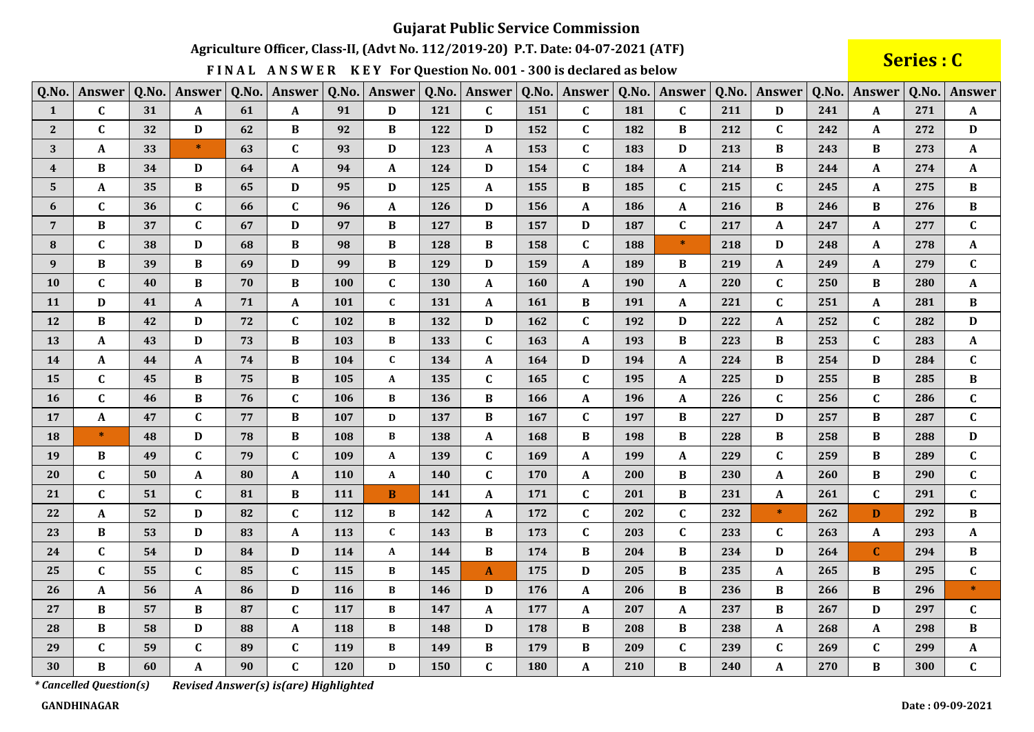Agriculture Officer, Class-II, (Advt No. 112/2019-20) P.T. Date: 04-07-2021 (ATF)

FINAL ANSWER KEY For Question No. 001 - 300 is declared as below

Series : C

| Q.No.            | Answer       | Q.No. | Answer       | Q.No. | Answer                    | Q.No. | Answer       | Q.No.      | Answer       | Q.No. | Answer       | Q.No. | Answer       | Q.No. | Answer       |     | Q.No. Answer | Q.No. | Answer       |
|------------------|--------------|-------|--------------|-------|---------------------------|-------|--------------|------------|--------------|-------|--------------|-------|--------------|-------|--------------|-----|--------------|-------|--------------|
| $\mathbf{1}$     | $\mathbf{C}$ | 31    | ${\bf A}$    | 61    | $\mathbf{A}$              | 91    | D            | 121        | $\mathbf{C}$ | 151   | $\mathbf{C}$ | 181   | $\mathbf{C}$ | 211   | D            | 241 | $\mathbf{A}$ | 271   | $\mathbf A$  |
| $\mathbf{2}$     | $\mathbf{C}$ | 32    | D            | 62    | $\bf{B}$                  | 92    | $\bf{B}$     | 122        | D            | 152   | $\mathbf{C}$ | 182   | $\bf{B}$     | 212   | $\mathbf{C}$ | 242 | A            | 272   | D            |
| 3                | A            | 33    | $\ast$       | 63    | $\mathbf C$               | 93    | D            | 123        | A            | 153   | $\mathbf{C}$ | 183   | D            | 213   | B            | 243 | B            | 273   | $\mathbf{A}$ |
| $\boldsymbol{4}$ | $\bf{B}$     | 34    | D            | 64    | $\mathbf{A}$              | 94    | $\mathbf{A}$ | 124        | D            | 154   | $\mathbf{C}$ | 184   | $\mathbf{A}$ | 214   | $\bf{B}$     | 244 | $\mathbf{A}$ | 274   | $\mathbf{A}$ |
| 5                | $\mathbf{A}$ | 35    | $\bf{B}$     | 65    | $\mathbf D$               | 95    | $\mathbf D$  | 125        | $\mathbf{A}$ | 155   | $\bf{B}$     | 185   | $\mathbf C$  | 215   | $\mathbf{C}$ | 245 | A            | 275   | $\, {\bf B}$ |
| 6                | $\mathbf{C}$ | 36    | $\mathbf{C}$ | 66    | $\mathbf C$               | 96    | $\mathbf A$  | 126        | D            | 156   | ${\bf A}$    | 186   | ${\bf A}$    | 216   | $\, {\bf B}$ | 246 | $\bf{B}$     | 276   | $\, {\bf B}$ |
| $\overline{7}$   | B            | 37    | $\mathbf{C}$ | 67    | $\mathbf D$               | 97    | $\bf{B}$     | 127        | $\bf{B}$     | 157   | D            | 187   | $\mathbf C$  | 217   | $\mathbf{A}$ | 247 | A            | 277   | $\mathbf{C}$ |
| 8                | $\mathbf{C}$ | 38    | D            | 68    | $\bf{B}$                  | 98    | $\, {\bf B}$ | 128        | B            | 158   | $\mathbf{C}$ | 188   | $\ast$       | 218   | D            | 248 | A            | 278   | $\mathbf A$  |
| $\bf{9}$         | B            | 39    | B            | 69    | $\mathbf D$               | 99    | $\bf{B}$     | 129        | D            | 159   | A            | 189   | $\bf{B}$     | 219   | A            | 249 | A            | 279   | $\mathbf{C}$ |
| ${\bf 10}$       | $\mathbf{C}$ | 40    | $\bf{B}$     | 70    | $\, {\bf B}$              | 100   | $\mathbf C$  | 130        | A            | 160   | A            | 190   | ${\bf A}$    | 220   | $\mathbf C$  | 250 | $\bf{B}$     | 280   | $\mathbf A$  |
| 11               | D            | 41    | A            | 71    | $\boldsymbol{\mathsf{A}}$ | 101   | $\mathbf{C}$ | 131        | A            | 161   | $\bf{B}$     | 191   | $\mathbf{A}$ | 221   | $\mathbf{C}$ | 251 | A            | 281   | $\, {\bf B}$ |
| 12               | $\bf{B}$     | 42    | D            | 72    | $\mathbf{C}$              | 102   | $\bf{B}$     | 132        | D            | 162   | $\mathbf{C}$ | 192   | $\mathbf D$  | 222   | A            | 252 | $\mathbf{C}$ | 282   | $\mathbf{D}$ |
| 13               | A            | 43    | D            | 73    | $\, {\bf B}$              | 103   | B            | 133        | $\mathbf C$  | 163   | A            | 193   | $\, {\bf B}$ | 223   | B            | 253 | $\mathbf{C}$ | 283   | A            |
| 14               | A            | 44    | A            | 74    | $\, {\bf B}$              | 104   | $\mathbf{C}$ | 134        | $\mathbf{A}$ | 164   | D            | 194   | $\mathbf A$  | 224   | $\bf{B}$     | 254 | D            | 284   | $\mathbf{C}$ |
| 15               | $\mathbf{C}$ | 45    | B            | 75    | $\, {\bf B}$              | 105   | A            | 135        | $\mathbf C$  | 165   | $\mathbf C$  | 195   | $\mathbf A$  | 225   | D            | 255 | B            | 285   | $\, {\bf B}$ |
| 16               | $\mathbf{C}$ | 46    | B            | 76    | $\mathbf{C}$              | 106   | B            | 136        | $\bf{B}$     | 166   | $\mathbf{A}$ | 196   | $\mathbf{A}$ | 226   | $\mathbf{C}$ | 256 | $\mathbf{C}$ | 286   | $\mathbf{C}$ |
| 17               | A            | 47    | $\mathbf{C}$ | 77    | $\bf{B}$                  | 107   | D            | 137        | B            | 167   | $\mathbf{C}$ | 197   | $\bf{B}$     | 227   | D            | 257 | B            | 287   | $\mathbf{C}$ |
| 18               | $\ast$       | 48    | D            | 78    | $\bf{B}$                  | 108   | B            | 138        | A            | 168   | $\bf{B}$     | 198   | $\, {\bf B}$ | 228   | $\, {\bf B}$ | 258 | B            | 288   | D            |
| 19               | B            | 49    | $\mathbf{C}$ | 79    | $\mathbf{C}$              | 109   | $\mathbf{A}$ | 139        | $\mathbf{C}$ | 169   | $\mathbf{A}$ | 199   | $\mathbf{A}$ | 229   | $\mathbf{C}$ | 259 | B            | 289   | $\mathbf{C}$ |
| 20               | C            | 50    | A            | 80    | A                         | 110   | A            | <b>140</b> | $\mathbf c$  | 170   | A            | 200   | B            | 230   | A            | 260 | B            | 290   | $\mathbf{C}$ |
| 21               | $\mathbf{C}$ | 51    | $\mathbf{C}$ | 81    | $\bf{B}$                  | 111   | B            | 141        | $\mathbf{A}$ | 171   | $\mathbf{C}$ | 201   | $\bf{B}$     | 231   | $\mathbf{A}$ | 261 | $\mathbf{C}$ | 291   | $\mathbf{C}$ |
| 22               | A            | 52    | D            | 82    | $\mathbf{C}$              | 112   | B            | 142        | A            | 172   | $\mathbf{C}$ | 202   | $\mathbf C$  | 232   | $\ast$       | 262 | D            | 292   | $\bf{B}$     |
| 23               | B            | 53    | D            | 83    | $\mathbf{A}$              | 113   | $\mathbf{C}$ | 143        | B            | 173   | $\mathbf{C}$ | 203   | $\mathbf C$  | 233   | $\mathbf{C}$ | 263 | A            | 293   | A            |
| 24               | $\mathbf{C}$ | 54    | D            | 84    | $\mathbf D$               | 114   | A            | 144        | B            | 174   | $\bf{B}$     | 204   | $\bf{B}$     | 234   | D            | 264 | $\mathbf{C}$ | 294   | $\, {\bf B}$ |
| 25               | $\mathbf{C}$ | 55    | $\mathbf{C}$ | 85    | $\mathbf C$               | 115   | B            | 145        | $\mathbf{A}$ | 175   | D            | 205   | $\, {\bf B}$ | 235   | A            | 265 | B            | 295   | $\mathbf C$  |
| 26               | $\mathbf{A}$ | 56    | A            | 86    | $\mathbf D$               | 116   | B            | 146        | D            | 176   | $\mathbf{A}$ | 206   | $\bf{B}$     | 236   | B            | 266 | B            | 296   | $\ast$       |
| 27               | B            | 57    | B            | 87    | $\mathbf{C}$              | 117   | B            | 147        | A            | 177   | A            | 207   | $\mathbf{A}$ | 237   | B            | 267 | D            | 297   | $\mathbf{C}$ |
| 28               | $\bf{B}$     | 58    | D            | 88    | $\boldsymbol{\mathsf{A}}$ | 118   | B            | 148        | D            | 178   | B            | 208   | $\bf{B}$     | 238   | $\mathbf{A}$ | 268 | A            | 298   | $\bf{B}$     |
| 29               | $\mathbf{C}$ | 59    | $\mathbf C$  | 89    | $\mathbf C$               | 119   | $\, {\bf B}$ | 149        | B            | 179   | $\bf{B}$     | 209   | $\mathbf C$  | 239   | $\mathbf{C}$ | 269 | $\mathbf{C}$ | 299   | $\mathbf A$  |
| 30               | B            | 60    | A            | 90    | $\mathbf{C}$              | 120   | D            | 150        | $\mathbf C$  | 180   | A            | 210   | $\bf{B}$     | 240   | A            | 270 | $\bf{B}$     | 300   | $\mathbf{C}$ |